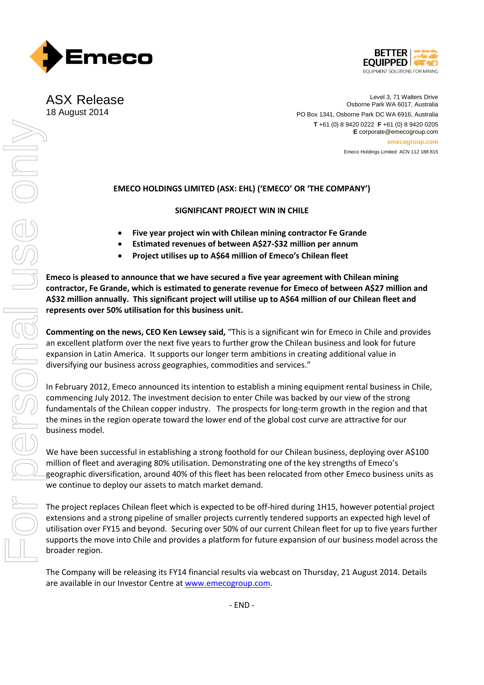



ASX Release 18 August 2014

Level 3, 71 Walters Drive Osborne Park WA 6017, Australia PO Box 1341, Osborne Park DC WA 6916, Australia **T** +61 (0) 8 9420 0222 **F** +61 (0) 8 9420 0205 **E** corporate@emecogroup.com **emecogroup.com** Emeco Holdings Limited ACN 112 188 815

## **EMECO HOLDINGS LIMITED (ASX: EHL) ('EMECO' OR 'THE COMPANY')**

**SIGNIFICANT PROJECT WIN IN CHILE**

- **Five year project win with Chilean mining contractor Fe Grande**
- **Estimated revenues of between A\$27-\$32 million per annum**
- **Project utilises up to A\$64 million of Emeco's Chilean fleet**

**Emeco is pleased to announce that we have secured a five year agreement with Chilean mining contractor, Fe Grande, which is estimated to generate revenue for Emeco of between A\$27 million and A\$32 million annually. This significant project will utilise up to A\$64 million of our Chilean fleet and represents over 50% utilisation for this business unit.**

**Commenting on the news, CEO Ken Lewsey said,** "This is a significant win for Emeco in Chile and provides an excellent platform over the next five years to further grow the Chilean business and look for future expansion in Latin America. It supports our longer term ambitions in creating additional value in diversifying our business across geographies, commodities and services."

In February 2012, Emeco announced its intention to establish a mining equipment rental business in Chile, commencing July 2012. The investment decision to enter Chile was backed by our view of the strong fundamentals of the Chilean copper industry. The prospects for long-term growth in the region and that the mines in the region operate toward the lower end of the global cost curve are attractive for our business model.

We have been successful in establishing a strong foothold for our Chilean business, deploying over A\$100 million of fleet and averaging 80% utilisation. Demonstrating one of the key strengths of Emeco's geographic diversification, around 40% of this fleet has been relocated from other Emeco business units as we continue to deploy our assets to match market demand.

The project replaces Chilean fleet which is expected to be off-hired during 1H15, however potential project extensions and a strong pipeline of smaller projects currently tendered supports an expected high level of utilisation over FY15 and beyond. Securing over 50% of our current Chilean fleet for up to five years further supports the move into Chile and provides a platform for future expansion of our business model across the broader region.

The Company will be releasing its FY14 financial results via webcast on Thursday, 21 August 2014. Details are available in our Investor Centre a[t www.emecogroup.com.](http://www.emecogroup.com/)